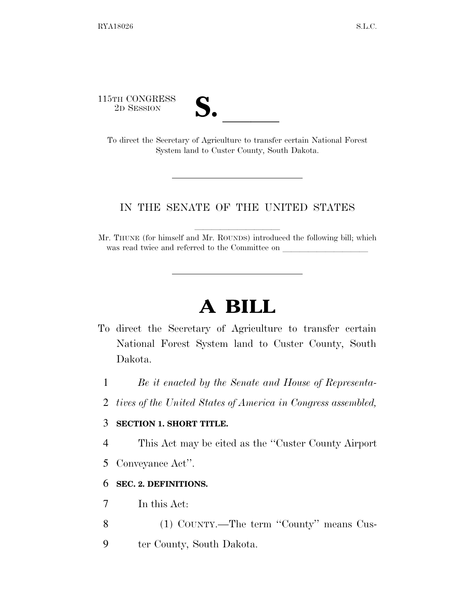115TH CONGRESS

| v.<br>I |  |
|---------|--|
|         |  |

5TH CONGRESS<br>
2D SESSION<br>
To direct the Secretary of Agriculture to transfer certain National Forest System land to Custer County, South Dakota.

## IN THE SENATE OF THE UNITED STATES

Mr. THUNE (for himself and Mr. ROUNDS) introduced the following bill; which was read twice and referred to the Committee on

# **A BILL**

- To direct the Secretary of Agriculture to transfer certain National Forest System land to Custer County, South Dakota.
	- 1 *Be it enacted by the Senate and House of Representa-*
	- 2 *tives of the United States of America in Congress assembled,*

### 3 **SECTION 1. SHORT TITLE.**

- 4 This Act may be cited as the ''Custer County Airport
- 5 Conveyance Act''.

### 6 **SEC. 2. DEFINITIONS.**

- 7 In this Act:
- 8 (1) COUNTY.—The term "County" means Cus-
- 9 ter County, South Dakota.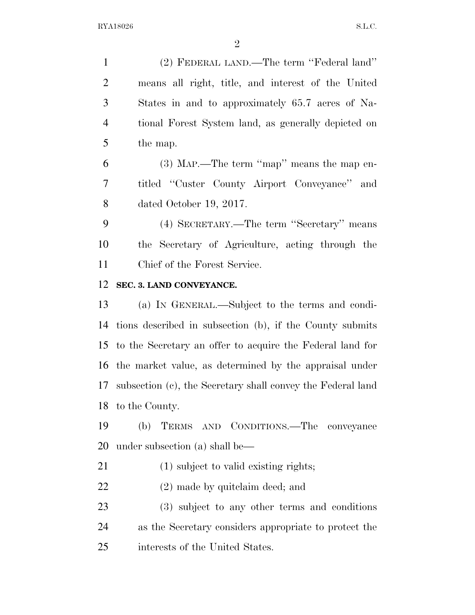(2) FEDERAL LAND.—The term ''Federal land'' means all right, title, and interest of the United States in and to approximately 65.7 acres of Na- tional Forest System land, as generally depicted on the map.

 (3) MAP.—The term ''map'' means the map en- titled ''Custer County Airport Conveyance'' and dated October 19, 2017.

 (4) SECRETARY.—The term ''Secretary'' means the Secretary of Agriculture, acting through the Chief of the Forest Service.

#### **SEC. 3. LAND CONVEYANCE.**

 (a) IN GENERAL.—Subject to the terms and condi- tions described in subsection (b), if the County submits to the Secretary an offer to acquire the Federal land for the market value, as determined by the appraisal under subsection (c), the Secretary shall convey the Federal land to the County.

 (b) TERMS AND CONDITIONS.—The conveyance under subsection (a) shall be—

- 21 (1) subject to valid existing rights;
- (2) made by quitclaim deed; and

 (3) subject to any other terms and conditions as the Secretary considers appropriate to protect the interests of the United States.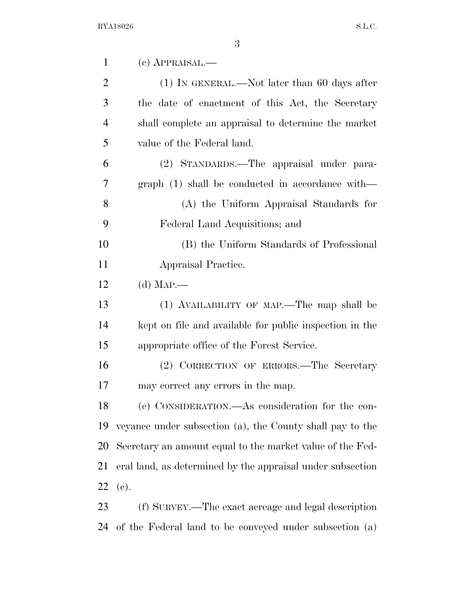| $\mathbf{1}$   | (c) APPRAISAL.—                                            |
|----------------|------------------------------------------------------------|
| 2              | $(1)$ In GENERAL.—Not later than 60 days after             |
| 3              | the date of enactment of this Act, the Secretary           |
| $\overline{4}$ | shall complete an appraisal to determine the market        |
| 5              | value of the Federal land.                                 |
| 6              | (2) STANDARDS.—The appraisal under para-                   |
| 7              | $graph (1) shall be conducted in accordance with—$         |
| 8              | (A) the Uniform Appraisal Standards for                    |
| 9              | Federal Land Acquisitions; and                             |
| 10             | (B) the Uniform Standards of Professional                  |
| 11             | Appraisal Practice.                                        |
| 12             | (d) $MAP$ —                                                |
| 13             | (1) AVAILABILITY OF MAP.—The map shall be                  |
| 14             | kept on file and available for public inspection in the    |
| 15             | appropriate office of the Forest Service.                  |
| 16             | (2) CORRECTION OF ERRORS.—The Secretary                    |
| 17             | may correct any errors in the map.                         |
| 18             | (e) CONSIDERATION.—As consideration for the con-           |
| 19             | veyance under subsection (a), the County shall pay to the  |
| 20             | Secretary an amount equal to the market value of the Fed-  |
| 21             | eral land, as determined by the appraisal under subsection |
| 22             | (e).                                                       |
| 23             | (f) SURVEY.—The exact acreage and legal description        |
| 24             | of the Federal land to be conveyed under subsection (a)    |